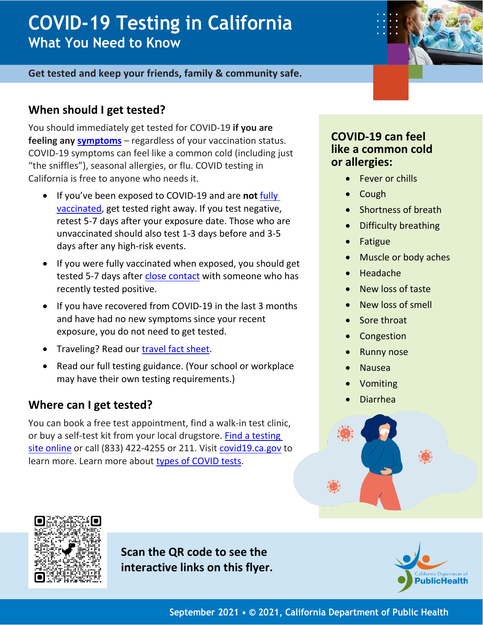# **COVID-19 Testing in California What You Need to Know**

#### **Get tested and keep your friends, family & community safe.**

## **When should I get tested?**

You should immediately get tested for COVID-19 **if you are feeling any [symptoms](https://www.cdc.gov/coronavirus/2019-ncov/symptoms-testing/symptoms.html)** – regardless of your vaccination status. COVID-19 symptoms can feel like a common cold (including just "the sniffles"), seasonal allergies, or flu. COVID testing in California is free to anyone who needs it.

- If you've been exposed to COVID-19 and are **not** [fully](https://www.cdph.ca.gov/Programs/CID/DCDC/Pages/COVID-19/COVID-19-Public-Health-Recommendations-for-Fully-Vaccinated-People.aspx)  [vaccinated,](https://www.cdph.ca.gov/Programs/CID/DCDC/Pages/COVID-19/COVID-19-Public-Health-Recommendations-for-Fully-Vaccinated-People.aspx) get tested right away. If you test negative, retest 5-7 days after your exposure date. Those who are unvaccinated should also test 1-3 days before and 3-5 days after any high-risk events.
- If you were fully vaccinated when exposed, you should get tested 5-7 days after [close contact](https://www.cdph.ca.gov/Programs/CID/DCDC/Pages/COVID-19-Contact-Tracing.aspx#:%7E:text=What%20is%20a%20%22close%20contact,be%20a%20%22close%20contact.%22) with someone who has recently tested positive.
- If you have recovered from COVID-19 in the last 3 months and have had no new symptoms since your recent exposure, you do not need to get tested.
- Traveling? Read our [travel fact sheet.](https://www.cdph.ca.gov/Programs/CID/DCDC/CDPH%20Document%20Library/COVID-19/CA-is-Open-Travel-Guidelines.pdf)
- Read our full testing guidance. (Your school or workplace may have their own testing requirements.)

#### **Where can I get tested?**

You can book a free test appointment, find a walk-in test clinic, or buy a self-test kit from your local drugstore. [Find a testing](https://www.arcgis.com/apps/Nearby/index.html?appid=43118dc0d5d348d8ab20a81967a15401)  [site online](https://www.arcgis.com/apps/Nearby/index.html?appid=43118dc0d5d348d8ab20a81967a15401) or call (833) 422-4255 or 211. Visit [covid19.ca.gov](https://covid19.ca.gov/get-tested/) to learn more. Learn more about [types of COVID tests.](https://www.cdph.ca.gov/Programs/CID/DCDC/CDPH%20Document%20Library/COVID-19/Translations/Fact-Sheet-for-PCR-Antigen-and-Serology-Tests--en.pdf)

#### **COVID-19 can feel like a common cold or allergies:**

- Fever or chills
- Cough
- Shortness of breath
- Difficulty breathing
- Fatigue
- Muscle or body aches
- Headache
- New loss of taste
- New loss of smell
- Sore throat
- **Congestion**
- **Runny nose**
- Nausea
- Vomiting
- Diarrhea





**Scan the QR code to see the interactive links on this flyer.**